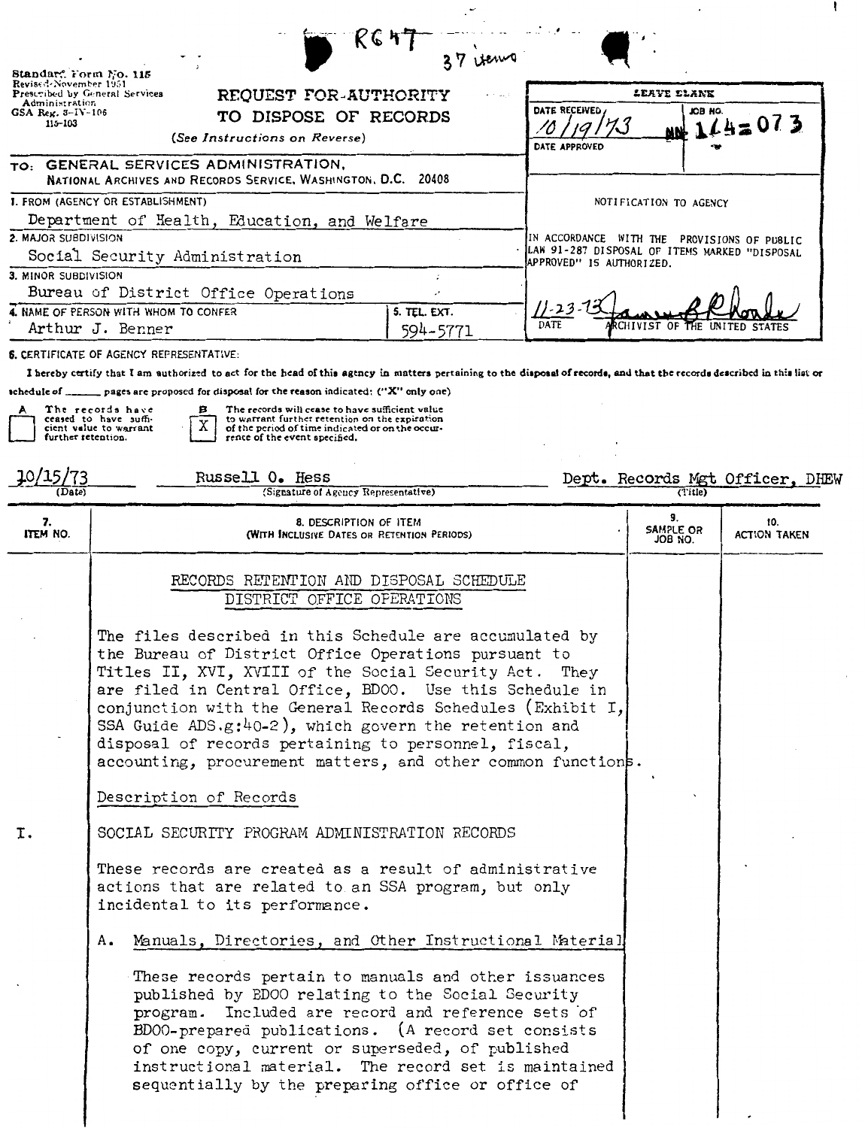| Standar". Form No. 115<br>Revised-November 1951<br>Prescribed by General Services<br>Administration<br>$GSA$ Reg. $3 - IV - 106$<br>115-103 | ドピケ<br>37 verno<br>REQUEST FOR-AUTHORITY<br>TO DISPOSE OF RECORDS                                                                                                                                                                                                                                                                                                                                                                                                                   | DATE RECEIVED                                                                                                            | LEAVE ELANK<br>юн вэл      | $AB + 14 = 073$                 |
|---------------------------------------------------------------------------------------------------------------------------------------------|-------------------------------------------------------------------------------------------------------------------------------------------------------------------------------------------------------------------------------------------------------------------------------------------------------------------------------------------------------------------------------------------------------------------------------------------------------------------------------------|--------------------------------------------------------------------------------------------------------------------------|----------------------------|---------------------------------|
|                                                                                                                                             | (See Instructions on Reverse)<br>TO: GENERAL SERVICES ADMINISTRATION,                                                                                                                                                                                                                                                                                                                                                                                                               | DATE APPROVED                                                                                                            |                            |                                 |
|                                                                                                                                             | NATIONAL ARCHIVES AND RECORDS SERVICE, WASHINGTON, D.C. 20408<br>1. FROM (AGENCY OR ESTABLISHMENT)                                                                                                                                                                                                                                                                                                                                                                                  |                                                                                                                          | NOTIFICATION TO AGENCY     |                                 |
| 2. MAJOR SUBDIVISION                                                                                                                        | Department of Health, Education, and Welfare<br>Social Security Administration                                                                                                                                                                                                                                                                                                                                                                                                      | IN ACCORDANCE WITH THE PROVISIONS OF PUBLIC<br>LAW 91-287 DISPOSAL OF ITEMS MARKED "DISPOSAL<br>APPROVED" IS AUTHORIZED. |                            |                                 |
| 3. MINOR SUBDIVISION                                                                                                                        | Bureau of District Office Operations<br>$\cdot$                                                                                                                                                                                                                                                                                                                                                                                                                                     |                                                                                                                          |                            |                                 |
|                                                                                                                                             | 4. NAME OF PERSON WITH WHOM TO CONFER<br>5. TEL. EXT.<br>Arthur J. Benner<br>594-5771                                                                                                                                                                                                                                                                                                                                                                                               | DATE                                                                                                                     | CHIVIST OF                 |                                 |
|                                                                                                                                             | 6. CERTIFICATE OF AGENCY REPRESENTATIVE:<br>I hereby certify that I am authorized to act for the head of this agency in matters pertaining to the disposal of records, and that the records described in this list or<br>schedule of _______ pages are proposed for disposal for the reason indicated: ("X" only one)                                                                                                                                                               |                                                                                                                          |                            |                                 |
| further retention.                                                                                                                          | The records have<br>The records will cease to have sufficient value<br>в<br>ceased to have suffi-<br>to warrant further retention on the expiration<br>cient value to warrant<br>of the period of time indicated or on the occur-<br>rence of the event specified.                                                                                                                                                                                                                  |                                                                                                                          |                            |                                 |
| (Date)                                                                                                                                      | Russell O. Hess<br>(Signature of Agency Representative)                                                                                                                                                                                                                                                                                                                                                                                                                             |                                                                                                                          |                            | Dept. Records Mgt Officer, DHEW |
| 7.<br>ITEM NO.                                                                                                                              | 8. DESCRIPTION OF ITEM<br>(WITH INCLUSIVE DATES OR RETENTION PERIODS)                                                                                                                                                                                                                                                                                                                                                                                                               |                                                                                                                          | 9.<br>SAMPLE OR<br>JOB NO. | 10.<br><b>ACTION TAKEN</b>      |
|                                                                                                                                             | RECORDS RETENTION AND DISPOSAL SCHEDULE<br>DISTRICT OFFICE OPERATIONS                                                                                                                                                                                                                                                                                                                                                                                                               |                                                                                                                          |                            |                                 |
|                                                                                                                                             | The files described in this Schedule are accumulated by<br>the Bureau of District Office Operations pursuant to<br>Titles II, XVI, XVIII of the Social Security Act. They<br>are filed in Central Office, BD00. Use this Schedule in<br>conjunction with the General Records Schedules (Exhibit I,<br>SSA Guide ADS.g:40-2), which govern the retention and<br>disposal of records pertaining to personnel, fiscal,<br>accounting, procurement matters, and other common functions. |                                                                                                                          |                            |                                 |
|                                                                                                                                             | Description of Records                                                                                                                                                                                                                                                                                                                                                                                                                                                              |                                                                                                                          |                            |                                 |
| I.                                                                                                                                          | SOCIAL SECURITY PROGRAM ADMINISTRATION RECORDS                                                                                                                                                                                                                                                                                                                                                                                                                                      |                                                                                                                          |                            |                                 |
|                                                                                                                                             | These records are created as a result of administrative<br>actions that are related to an SSA program, but only<br>incidental to its performance.                                                                                                                                                                                                                                                                                                                                   |                                                                                                                          |                            |                                 |
|                                                                                                                                             | Manuals, Directories, and Other Instructional Material<br>Α.                                                                                                                                                                                                                                                                                                                                                                                                                        |                                                                                                                          |                            |                                 |
|                                                                                                                                             | These records pertain to manuals and other issuances<br>published by ED00 relating to the Social Security<br>program. Included are record and reference sets of<br>BD00-prepared publications. (A record set consists<br>of one copy, current or superseded, of published<br>instructional material. The record set is maintained<br>sequentially by the preparing office or office of                                                                                              |                                                                                                                          |                            |                                 |

 $\mathbf{r}$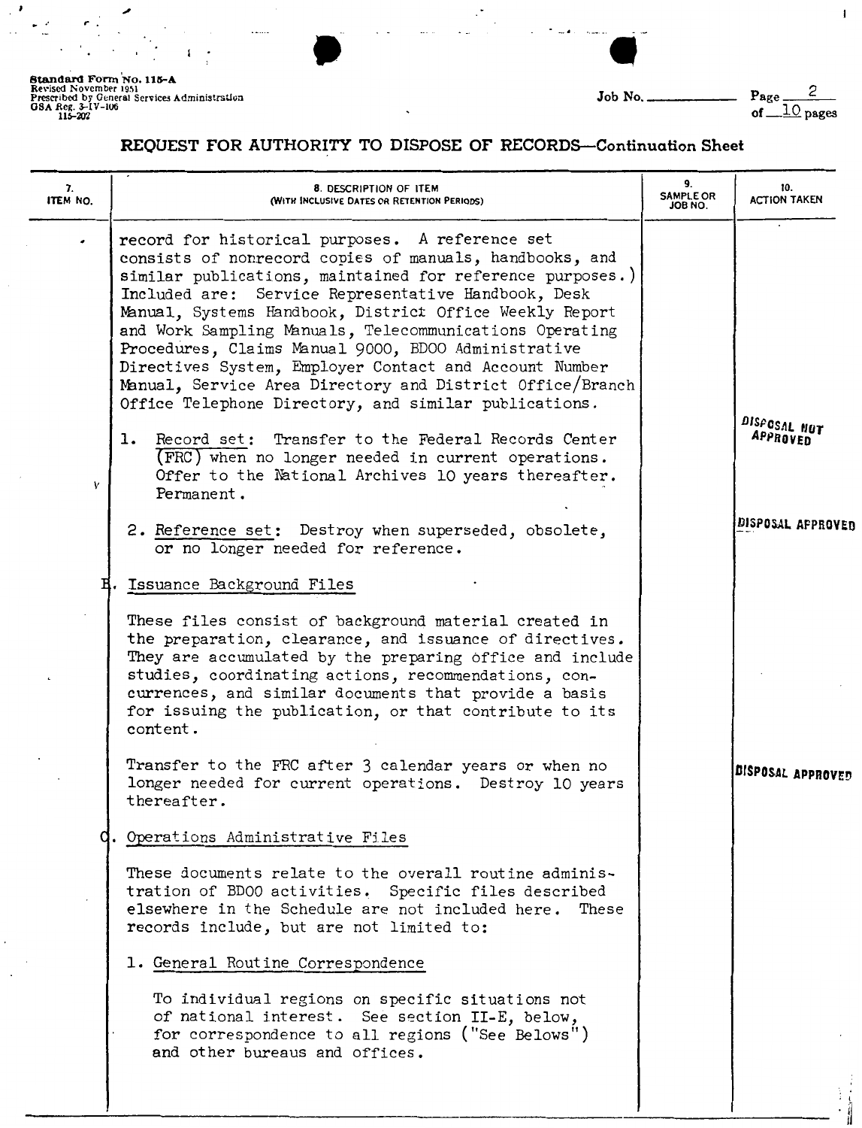en antistation<br>
Finisistation<br>
Job No. **8tandard Form No. 115-A**<br>
Revised November 1951<br>
Prescribed by General Services Administrsuon<br>
OBA .Reg. 3-1V-106 **COMPER .COMPER .COMPER .COMPER .COMPER .Prescribed by General Services Administrsuon COMPER .COMPER .COMPE** 

 $\mathbf{I}$ 

### REQUEST FOR AUTHORITY TO DISPOSE OF RECORDS-Continuation Sheet

| 7.<br>ITEM NO. | 8. DESCRIPTION OF ITEM<br>(WITH INCLUSIVE DATES OR RETENTION PERIODS)                                                                                                                                                                                                                                                                                                                                                                                                                                                                                                                                                                                                                                                                                                                                                                                                                                                                                                                                                                                                                                                                                                                                                                                                                | 9.<br><b>SAMPLE OR</b><br>JOB NO. | 10.<br><b>ACTION TAKEN</b>                    |
|----------------|--------------------------------------------------------------------------------------------------------------------------------------------------------------------------------------------------------------------------------------------------------------------------------------------------------------------------------------------------------------------------------------------------------------------------------------------------------------------------------------------------------------------------------------------------------------------------------------------------------------------------------------------------------------------------------------------------------------------------------------------------------------------------------------------------------------------------------------------------------------------------------------------------------------------------------------------------------------------------------------------------------------------------------------------------------------------------------------------------------------------------------------------------------------------------------------------------------------------------------------------------------------------------------------|-----------------------------------|-----------------------------------------------|
| V              | record for historical purposes. A reference set<br>consists of nonrecord copies of manuals, handbooks, and<br>similar publications, maintained for reference purposes.)<br>Included are: Service Representative Handbook, Desk<br>Manual, Systems Handbook, District Office Weekly Report<br>and Work Sampling Manuals, Telecommunications Operating<br>Procedures, Claims Manual 9000, BD00 Administrative<br>Directives System, Employer Contact and Account Number<br>Manual, Service Area Directory and District Office/Branch<br>Office Telephone Directory, and similar publications.<br>1. Record set: Transfer to the Federal Records Center<br>(FRC) when no longer needed in current operations.<br>Offer to the National Archives 10 years thereafter.<br>Permanent.<br>2. Reference set: Destroy when superseded, obsolete,<br>or no longer needed for reference.<br>H. Issuance Background Files<br>These files consist of background material created in<br>the preparation, clearance, and issuance of directives.<br>They are accumulated by the preparing office and include<br>studies, coordinating actions, recommendations, con-<br>currences, and similar documents that provide a basis<br>for issuing the publication, or that contribute to its<br>content. |                                   | DISPOSAL NOT<br>APPROVED<br>DISPOSAL APPROVED |
|                | Transfer to the FRC after 3 calendar years or when no<br>longer needed for current operations. Destroy 10 years<br>thereafter.<br>Operations Administrative Files<br>These documents relate to the overall routine adminis-<br>tration of BD00 activities. Specific files described                                                                                                                                                                                                                                                                                                                                                                                                                                                                                                                                                                                                                                                                                                                                                                                                                                                                                                                                                                                                  |                                   | DISPOSAL APPROVED                             |
|                | elsewhere in the Schedule are not included here.<br>These<br>records include, but are not limited to:<br>1. General Routine Correspondence<br>To individual regions on specific situations not<br>of national interest. See section II-E, below,<br>for correspondence to all regions ("See Belows")<br>and other bureaus and offices.                                                                                                                                                                                                                                                                                                                                                                                                                                                                                                                                                                                                                                                                                                                                                                                                                                                                                                                                               |                                   |                                               |
|                |                                                                                                                                                                                                                                                                                                                                                                                                                                                                                                                                                                                                                                                                                                                                                                                                                                                                                                                                                                                                                                                                                                                                                                                                                                                                                      |                                   |                                               |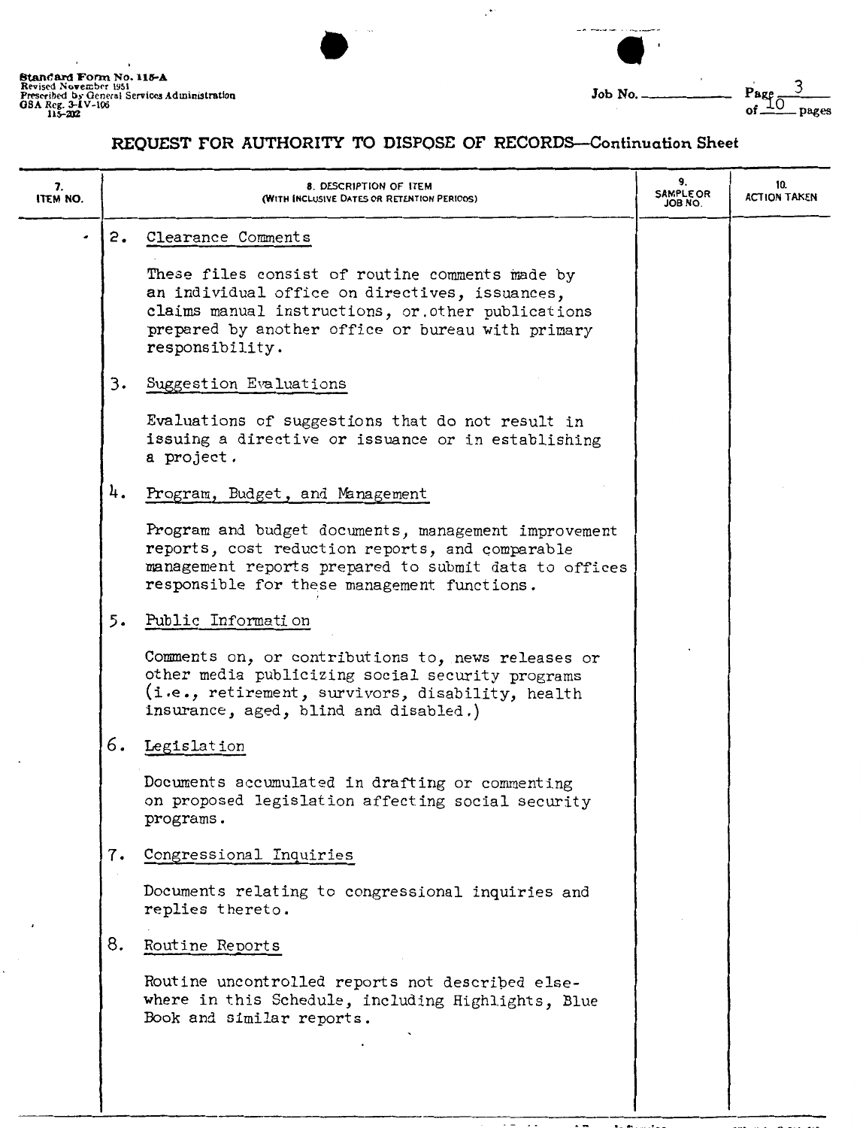|                                                                                                                                   | $\cdots$ |        |                     |
|-----------------------------------------------------------------------------------------------------------------------------------|----------|--------|---------------------|
| Standard Form No. 115-A<br>Revised November 1951<br>Prescribed by General Services Administration<br>08A Reg. 3–1V-106<br>115-202 |          | Job No | Page<br>of<br>pages |

## REQUEST FOR AUTHORITY TO DISPOSE OF RECORDS-Continuation Sheet

 $\mathbb{R}^{\bullet}$ 

| 7.<br><b>ITEM NO.</b> | 8. DESCRIPTION OF ITEM<br>(WITH INCLUSIVE DATES OR RETENTION PERIODS)                                                                                                                                                                | 9.<br><b>SAMPLE OR</b><br>JOB NO. | 10.<br><b>ACTION TAKEN</b> |
|-----------------------|--------------------------------------------------------------------------------------------------------------------------------------------------------------------------------------------------------------------------------------|-----------------------------------|----------------------------|
|                       | 2. Clearance Comments<br>These files consist of routine comments made by<br>an individual office on directives, issuances,<br>claims manual instructions, or other publications<br>prepared by another office or bureau with primary |                                   |                            |
|                       | responsibility.<br>3.<br>Suggestion Evaluations<br>Evaluations of suggestions that do not result in<br>issuing a directive or issuance or in establishing                                                                            |                                   |                            |
|                       | a project.<br>4.<br>Program, Budget, and Management<br>Program and budget documents, management improvement<br>reports, cost reduction reports, and comparable<br>management reports prepared to submit data to offices              |                                   |                            |
|                       | responsible for these management functions.<br>5. Public Information<br>Comments on, or contributions to, news releases or<br>other media publicizing social security programs<br>(i.e., retirement, survivors, disability, health   |                                   |                            |
|                       | insurance, aged, blind and disabled.)<br>6. Legislation<br>Documents accumulated in drafting or commenting<br>on proposed legislation affecting social security<br>programs.                                                         |                                   |                            |
|                       | Congressional Inquiries<br>7.<br>Documents relating to congressional inquiries and<br>replies thereto.                                                                                                                               |                                   |                            |
|                       | 8.<br>Routine Reports<br>Routine uncontrolled reports not described else-<br>where in this Schedule, including Highlights, Blue<br>Book and similar reports.                                                                         |                                   |                            |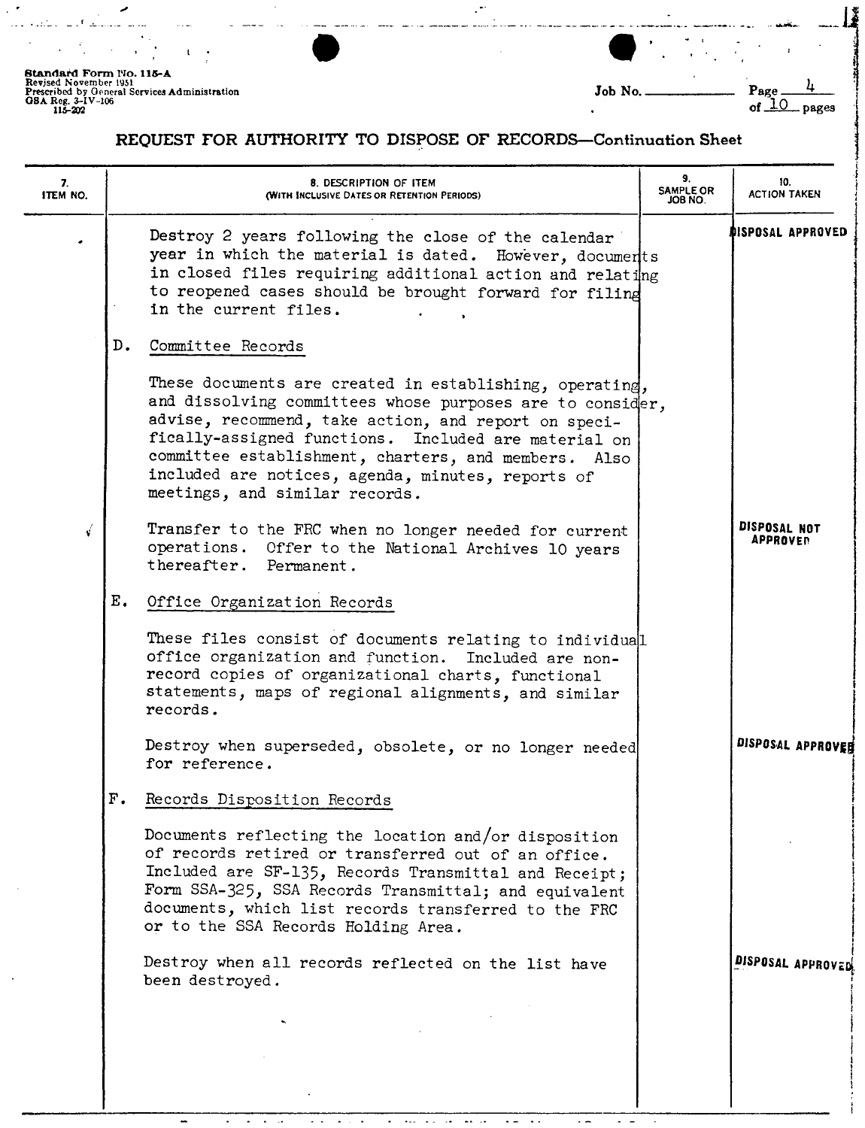**Standard Form 140. 115-A<br>Revised November 1951<br>Prescribed by General Services Administration<br>GBA Reg, 3-IV-106<br>115-202** 

ر

l •

- • f -~ - -·- -· --·

 $\bullet$  $\ddot{\phantom{a}}$ 

 $\sim$ 

|         | ٠ |                 |       |  |
|---------|---|-----------------|-------|--|
| Job No. |   | Page<br>of $10$ | pages |  |

## REQUEST FOR AUTHORITY TO DISPOSE OF RECORDS-Continuation Sheet

 $\mathbb{R}^2$ 

| 7.<br>ITEM NO. | 8. DESCRIPTION OF ITEM<br>(WITH INCLUSIVE DATES OR RETENTION PERIODS)                                                                                                                                                                                                                                                                                                               | 9.<br><b>SAMPLE OR</b><br>JOB NO. | 10.<br><b>ACTION TAKEN</b>      |
|----------------|-------------------------------------------------------------------------------------------------------------------------------------------------------------------------------------------------------------------------------------------------------------------------------------------------------------------------------------------------------------------------------------|-----------------------------------|---------------------------------|
|                | Destroy 2 years following the close of the calendar<br>year in which the material is dated. However, documents<br>in closed files requiring additional action and relating<br>to reopened cases should be brought forward for filing<br>in the current files.                                                                                                                       |                                   | DISPOSAL APPROVED               |
|                | D.<br>Committee Records                                                                                                                                                                                                                                                                                                                                                             |                                   |                                 |
|                | These documents are created in establishing, operating,<br>and dissolving committees whose purposes are to consider,<br>advise, recommend, take action, and report on speci-<br>fically-assigned functions. Included are material on<br>committee establishment, charters, and members. Also<br>included are notices, agenda, minutes, reports of<br>meetings, and similar records. |                                   |                                 |
| Ý              | Transfer to the FRC when no longer needed for current<br>operations. Offer to the National Archives 10 years<br>thereafter. Permanent.                                                                                                                                                                                                                                              |                                   | DISPOSAL NOT<br><b>APPROVER</b> |
|                | $E_{\bullet}$<br>Office Organization Records                                                                                                                                                                                                                                                                                                                                        |                                   |                                 |
|                | These files consist of documents relating to individual<br>office organization and function.<br>Included are non-<br>record copies of organizational charts, functional<br>statements, maps of regional alignments, and similar<br>records.                                                                                                                                         |                                   |                                 |
|                | Destroy when superseded, obsolete, or no longer needed<br>for reference.                                                                                                                                                                                                                                                                                                            |                                   | DISPOSAL APPROVER               |
|                | $\mathbf{F}$ .<br>Records Disposition Records                                                                                                                                                                                                                                                                                                                                       |                                   |                                 |
|                | Documents reflecting the location and/or disposition<br>of records retired or transferred out of an office.<br>Included are SF-135, Records Transmittal and Receipt;<br>Form SSA-325, SSA Records Transmittal; and equivalent<br>documents, which list records transferred to the FRC<br>or to the SSA Records Holding Area.                                                        |                                   |                                 |
|                | Destroy when all records reflected on the list have<br>been destroyed.                                                                                                                                                                                                                                                                                                              |                                   | DISPOSAL APPROVED               |
|                |                                                                                                                                                                                                                                                                                                                                                                                     |                                   |                                 |
|                |                                                                                                                                                                                                                                                                                                                                                                                     |                                   |                                 |
|                |                                                                                                                                                                                                                                                                                                                                                                                     |                                   |                                 |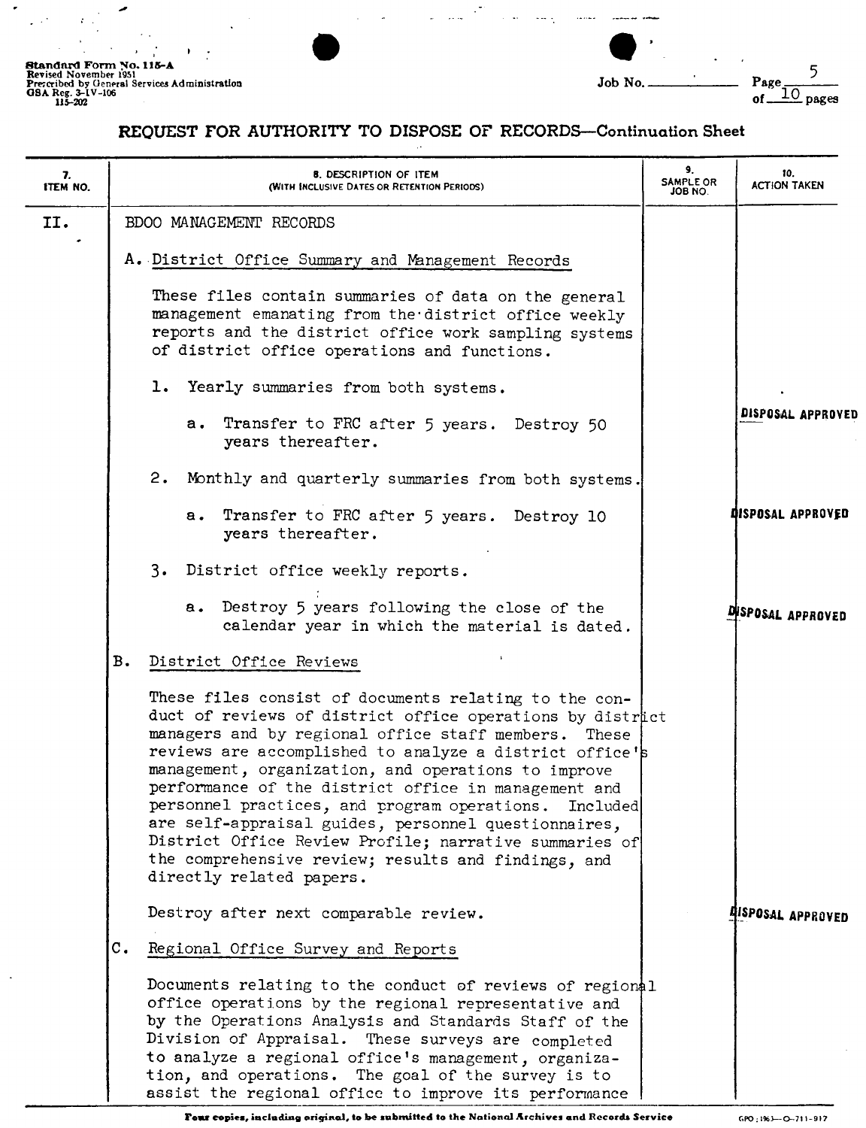╭  $\bar{z}$ 

 $\mathcal{F}^{(n)}_{\text{max}}$ 

 $\chi^2$ 

 $\ddot{\phantom{a}}$ 

| Standard Form No. 115-A<br>Revised November 1951<br>Prescribed by General Services Administration<br>GSA Reg. 3-1V-106<br>115-202 | $P_{\alpha\alpha\alpha}$<br>Job No.<br>pages |
|-----------------------------------------------------------------------------------------------------------------------------------|----------------------------------------------|

## REQUEST FOR AUTHORITY TO DISPOSE OF RECORDS-Continuation Sheet

 $\mathcal{L}_{\text{max}}$  ,  $\mathcal{L}$ 

is a

للمستشفين المساري والمدار المرادر

| 7.<br>ITEM NO. | <b>8. DESCRIPTION OF ITEM</b><br>(WITH INCLUSIVE DATES OR RETENTION PERIODS)                                                                                                                                                                                                                                                                                                                                                                                                                                                                                                                                       | 9.<br>SAMPLE OR<br>JOB NO. | 10.<br><b>ACTION TAKEN</b>      |
|----------------|--------------------------------------------------------------------------------------------------------------------------------------------------------------------------------------------------------------------------------------------------------------------------------------------------------------------------------------------------------------------------------------------------------------------------------------------------------------------------------------------------------------------------------------------------------------------------------------------------------------------|----------------------------|---------------------------------|
| II.            | BDOO MANAGEMENT RECORDS                                                                                                                                                                                                                                                                                                                                                                                                                                                                                                                                                                                            |                            |                                 |
|                | A. District Office Summary and Management Records                                                                                                                                                                                                                                                                                                                                                                                                                                                                                                                                                                  |                            |                                 |
|                | These files contain summaries of data on the general<br>management emanating from the district office weekly<br>reports and the district office work sampling systems<br>of district office operations and functions.                                                                                                                                                                                                                                                                                                                                                                                              |                            |                                 |
|                | 1. Yearly summaries from both systems.                                                                                                                                                                                                                                                                                                                                                                                                                                                                                                                                                                             |                            |                                 |
|                | Transfer to FRC after 5 years. Destroy 50<br>а.<br>years thereafter.                                                                                                                                                                                                                                                                                                                                                                                                                                                                                                                                               |                            | DISPOSAL APPROVED               |
|                | 2. Monthly and quarterly summaries from both systems.                                                                                                                                                                                                                                                                                                                                                                                                                                                                                                                                                              |                            |                                 |
|                | a. Transfer to FRC after 5 years. Destroy 10<br>years thereafter.                                                                                                                                                                                                                                                                                                                                                                                                                                                                                                                                                  |                            | DISPOSAL APPROVED               |
|                | 3. District office weekly reports.                                                                                                                                                                                                                                                                                                                                                                                                                                                                                                                                                                                 |                            |                                 |
|                | a. Destroy 5 years following the close of the<br>calendar year in which the material is dated.                                                                                                                                                                                                                                                                                                                                                                                                                                                                                                                     |                            | DISPOSAL APPROVED               |
|                | <b>B.</b><br>District Office Reviews                                                                                                                                                                                                                                                                                                                                                                                                                                                                                                                                                                               |                            |                                 |
|                | These files consist of documents relating to the con-<br>duct of reviews of district office operations by district<br>managers and by regional office staff members. These<br>reviews are accomplished to analyze a district office's<br>management, organization, and operations to improve<br>performance of the district office in management and<br>personnel practices, and program operations. Included<br>are self-appraisal guides, personnel questionnaires,<br>District Office Review Profile; narrative summaries of<br>the comprehensive review; results and findings, and<br>directly related papers. |                            |                                 |
|                | Destroy after next comparable review.                                                                                                                                                                                                                                                                                                                                                                                                                                                                                                                                                                              |                            | <b><i>AISPOSAL APPROVED</i></b> |
|                | $\mathbf{c}$ .<br>Regional Office Survey and Reports                                                                                                                                                                                                                                                                                                                                                                                                                                                                                                                                                               |                            |                                 |
|                | Documents relating to the conduct of reviews of regional<br>office operations by the regional representative and<br>by the Operations Analysis and Standards Staff of the<br>Division of Appraisal. These surveys are completed<br>to analyze a regional office's management, organiza-<br>tion, and operations. The goal of the survey is to<br>assist the regional office to improve its performance                                                                                                                                                                                                             |                            |                                 |

Four copies, including original, to be submitted to the National Archives and Records Service **GPO: 19th-0-711-917**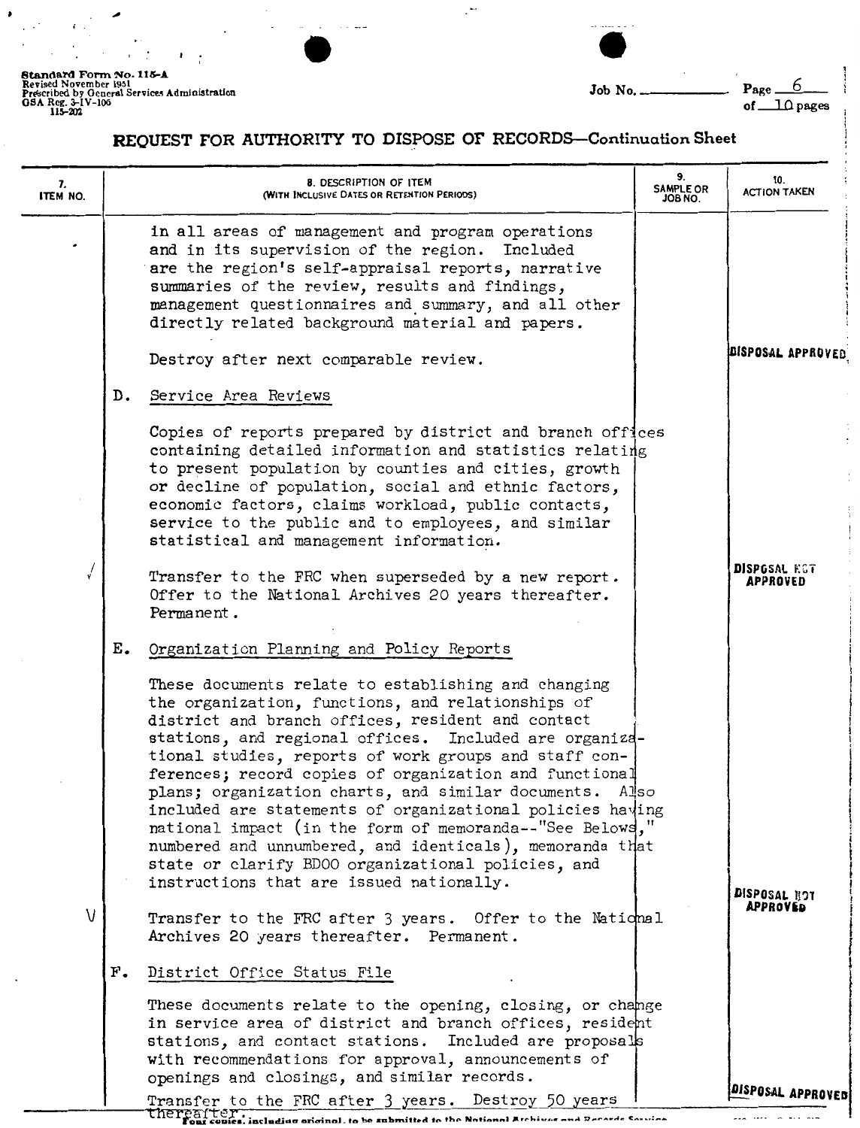ż

 $\cdot$   $\cdot$ 

| GSA Reg. 3-IV-106<br>115-202 | Standard Form No. 115-A<br>Revised November 1951<br>Prescribed by General Services Administration | Job No. | $Page_ 0$<br>$\Box$ $\Omega$ pages |
|------------------------------|---------------------------------------------------------------------------------------------------|---------|------------------------------------|
|------------------------------|---------------------------------------------------------------------------------------------------|---------|------------------------------------|

i

# **REQUEST FOR AUTHORITY TO DISPOSE OF RECORDS-Continuation Sheet**

 $\cdot$ 

| 7.<br>ITEM NO. | 8. DESCRIPTION OF ITEM<br>(WITH INCLUSIVE DATES OR RETENTION PERIODS)                                                                                                                                                                                                                                                                                                                                                                                                                                                                                                                                                                                                                        | 9.<br><b>SAMPLE OR</b><br>ON 8OL | 10.<br><b>ACTION TAKEN</b>      |
|----------------|----------------------------------------------------------------------------------------------------------------------------------------------------------------------------------------------------------------------------------------------------------------------------------------------------------------------------------------------------------------------------------------------------------------------------------------------------------------------------------------------------------------------------------------------------------------------------------------------------------------------------------------------------------------------------------------------|----------------------------------|---------------------------------|
|                | in all areas of management and program operations<br>and in its supervision of the region. Included<br>are the region's self-appraisal reports, narrative<br>summaries of the review, results and findings,<br>management questionnaires and summary, and all other<br>directly related background material and papers.                                                                                                                                                                                                                                                                                                                                                                      |                                  |                                 |
|                | Destroy after next comparable review.                                                                                                                                                                                                                                                                                                                                                                                                                                                                                                                                                                                                                                                        |                                  | DISPOSAL APPROVED               |
|                | Service Area Reviews<br>D.                                                                                                                                                                                                                                                                                                                                                                                                                                                                                                                                                                                                                                                                   |                                  |                                 |
|                | Copies of reports prepared by district and branch offices<br>containing detailed information and statistics relating<br>to present population by counties and cities, growth<br>or decline of population, social and ethnic factors,<br>economic factors, claims workload, public contacts,<br>service to the public and to employees, and similar<br>statistical and management information.                                                                                                                                                                                                                                                                                                |                                  |                                 |
|                | Transfer to the FRC when superseded by a new report.<br>Offer to the National Archives 20 years thereafter.<br>Permanent.                                                                                                                                                                                                                                                                                                                                                                                                                                                                                                                                                                    |                                  | <b>DISPOSAL KGT</b><br>APPROVED |
|                | Ε.<br>Organization Planning and Policy Reports                                                                                                                                                                                                                                                                                                                                                                                                                                                                                                                                                                                                                                               |                                  |                                 |
|                | These documents relate to establishing and changing<br>the organization, functions, and relationships of<br>district and branch offices, resident and contact<br>stations, and regional offices. Included are organiza-<br>tional studies, reports of work groups and staff con-<br>ferences; record copies of organization and functional<br>plans; organization charts, and similar documents. Also<br>included are statements of organizational policies having<br>national impact (in the form of memoranda--"See Belows,"<br>numbered and unnumbered, and identicals), memoranda that<br>state or clarify BD00 organizational policies, and<br>instructions that are issued nationally. |                                  | DISPOSAL BOT                    |
| V              | Transfer to the FRC after 3 years. Offer to the National<br>Archives 20 years thereafter. Permanent.                                                                                                                                                                                                                                                                                                                                                                                                                                                                                                                                                                                         |                                  | APPROVED                        |
|                | $F_{\bullet}$<br>District Office Status File                                                                                                                                                                                                                                                                                                                                                                                                                                                                                                                                                                                                                                                 |                                  |                                 |
|                | These documents relate to the opening, closing, or change<br>in service area of district and branch offices, resident<br>stations, and contact stations. Included are proposals<br>with recommendations for approval, announcements of<br>openings and closings, and similar records.                                                                                                                                                                                                                                                                                                                                                                                                        |                                  | DISPOSAL APPROVED               |
|                | Transfer to the FRC after 3 years. Destroy 50 years<br>The real ter.<br>Four cours, including original, to be submitted to the National Archives and Records Souries                                                                                                                                                                                                                                                                                                                                                                                                                                                                                                                         |                                  |                                 |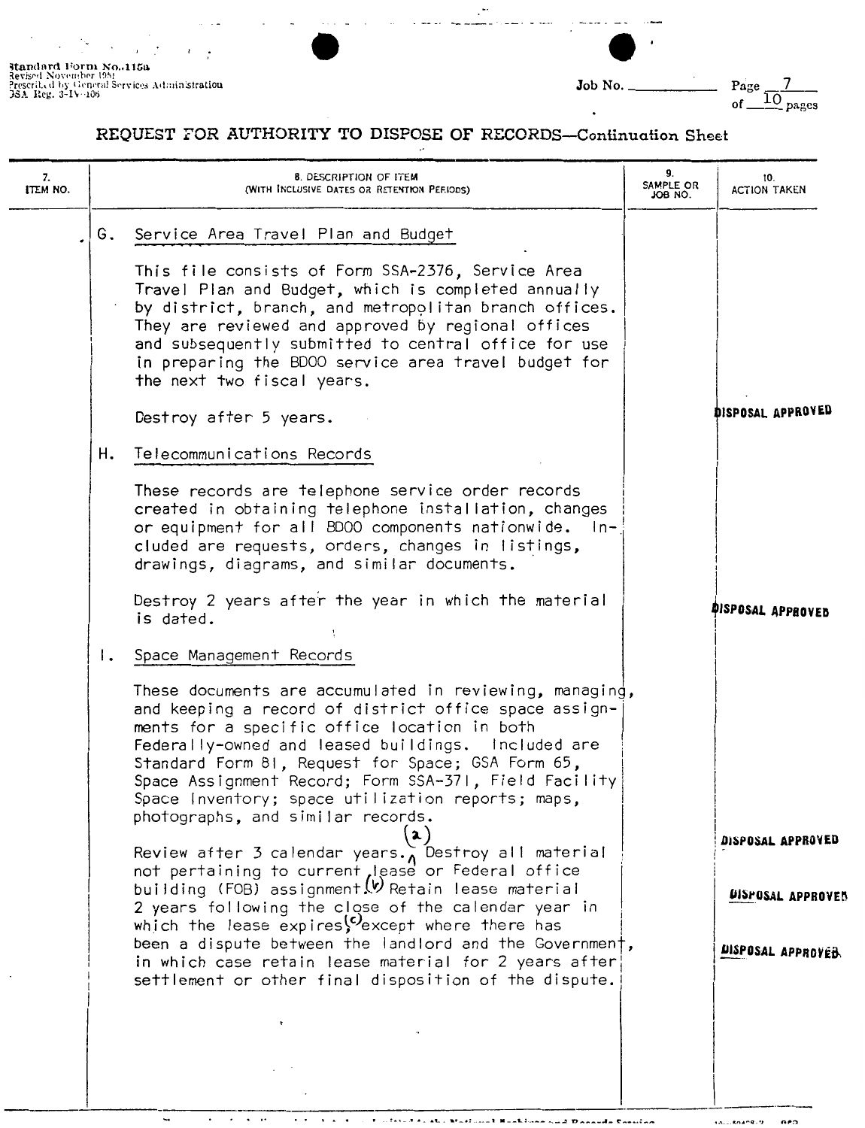**Standard Form No. 1158**<br>Revised November 1951<br>Prescrit.d by General Services Administr**ation**<br>JSA Reg. 3-IV-106

 $\ddot{\phantom{0}}$ 

 $\blacksquare$ 

 $\cdots$ 

 $\overline{\phantom{a}}$ 

| Job No. | Page                 |
|---------|----------------------|
|         | $\frac{10}{2}$ pages |

### REQUEST FOR AUTHORITY TO DISPOSE OF RECORDS-Continuation Sheet

 $\ddot{\phantom{a}}$ 

| 7.<br><b>ITEM NO.</b> | <b>8. DESCRIPTION OF ITEM</b><br>(WITH INCLUSIVE DATES OR RETENTION PERIODS)                                                                                                                                                                                                                                                                                                                                                   | 9.<br>SAMPLE OR<br>JOB NO. | 10.<br><b>ACTION TAKEN</b> |
|-----------------------|--------------------------------------------------------------------------------------------------------------------------------------------------------------------------------------------------------------------------------------------------------------------------------------------------------------------------------------------------------------------------------------------------------------------------------|----------------------------|----------------------------|
|                       | Service Area Travel Plan and Budget<br>G.                                                                                                                                                                                                                                                                                                                                                                                      |                            |                            |
|                       | This file consists of Form SSA-2376, Service Area<br>Travel Plan and Budget, which is completed annually<br>by district, branch, and metropolitan branch offices.<br>They are reviewed and approved by regional offices<br>and subsequently submitted to central office for use<br>in preparing the BD00 service area travel budget for<br>the next two fiscal years.                                                          |                            |                            |
|                       | Destroy after 5 years.                                                                                                                                                                                                                                                                                                                                                                                                         |                            | DISPOSAL APPROVED          |
|                       | Telecommunications Records<br>н.                                                                                                                                                                                                                                                                                                                                                                                               |                            |                            |
|                       | These records are telephone service order records<br>created in obtaining telephone installation, changes<br>or equipment for all BD00 components nationwide. In-<br>cluded are requests, orders, changes in listings,<br>drawings, diagrams, and similar documents.                                                                                                                                                           |                            |                            |
|                       | Destroy 2 years after the year in which the material<br>is dated.                                                                                                                                                                                                                                                                                                                                                              |                            | <b>DISPOSAL APPROVED</b>   |
|                       | Space Management Records<br>$\mathsf{L}$                                                                                                                                                                                                                                                                                                                                                                                       |                            |                            |
|                       | These documents are accumulated in reviewing, managing,<br>and keeping a record of district office space assign-<br>ments for a specific office location in both<br>Federally-owned and leased buildings. Included are<br>Standard Form 81, Request for Space; GSA Form 65,<br>Space Assignment Record; Form SSA-371, Field Facility<br>Space Inventory; space utilization reports; maps,<br>photographs, and similar records. |                            |                            |
|                       | Review after 3 calendar years.<br>Nestroy all material<br>not pertaining to current lease or Federal office<br>building (FOB) assignment ( $\psi$ Retain lease material                                                                                                                                                                                                                                                        |                            | DISPOSAL APPROVED          |
|                       | 2 years following the close of the calendar year in<br>which the lease expires vexcept where there has                                                                                                                                                                                                                                                                                                                         |                            | <b>DISPOSAL APPROVED</b>   |
|                       | been a dispute between the landlord and the Government,<br>in which case retain lease material for 2 years after<br>settlement or other final disposition of the dispute.                                                                                                                                                                                                                                                      |                            | <b>LISPOSAL APPROVED.</b>  |
|                       |                                                                                                                                                                                                                                                                                                                                                                                                                                |                            |                            |
|                       |                                                                                                                                                                                                                                                                                                                                                                                                                                |                            |                            |
|                       |                                                                                                                                                                                                                                                                                                                                                                                                                                |                            |                            |

 $\overline{\phantom{a}}$ Fortificate also Mastrosal Real from and Danielle Comina

 $14...$ Knang. 9 eeo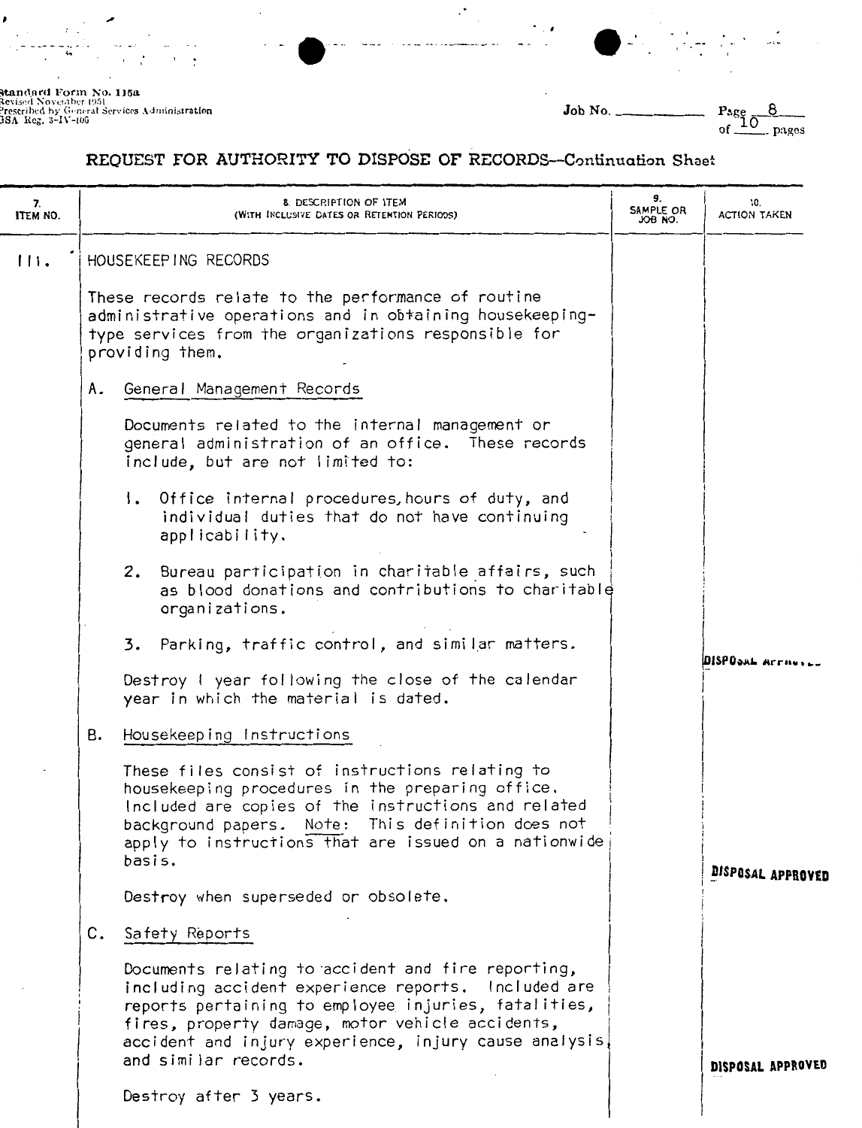

**standard Form No. 115a**<br>Revised November 1951<br>Prescribed by General Services Administr**ation**<br>JSA Reg. 3–IV–106

 $\mathbf{r}$ 

 $\bar{1}$  $\cdot$ 

,

Job No.

 $Page of 10$  $\overline{8}$ pages

## REQUEST FOR AUTHORITY TO DISPOSE OF RECORDS-Continuation Sheet

 $\cdot$ 

| 7.<br>ITEM NO. | 8. DESCRIPTION OF ITEM<br>(WITH INCLUSIVE DATES OR RETENTION PERIODS)                                                                                                                                                                                                                                   |  | 10.<br>ACTION TAKEN |
|----------------|---------------------------------------------------------------------------------------------------------------------------------------------------------------------------------------------------------------------------------------------------------------------------------------------------------|--|---------------------|
| 111.           | HOUSEKEEP ING RECORDS                                                                                                                                                                                                                                                                                   |  |                     |
|                | These records relate to the performance of routine<br>administrative operations and in obtaining housekeeping-<br>type services from the organizations responsible for<br>providing them.                                                                                                               |  |                     |
|                | General Management Records<br>Α.                                                                                                                                                                                                                                                                        |  |                     |
|                | Documents related to the internal management or<br>general administration of an office. These records<br>include, but are not limited to:                                                                                                                                                               |  |                     |
|                | 1. Office internal procedures, hours of duty, and<br>individual duties that do not have continuing<br>applicability.                                                                                                                                                                                    |  |                     |
|                | 2. Bureau participation in charitable affairs, such<br>as blood donations and contributions to charitable<br>organizations.                                                                                                                                                                             |  |                     |
|                | 3. Parking, traffic control, and similar matters.                                                                                                                                                                                                                                                       |  | DISPOSAL Arrays     |
|                | Destroy I year following the close of the calendar<br>year in which the material is dated.                                                                                                                                                                                                              |  |                     |
|                | Housekeeping Instructions<br>в.                                                                                                                                                                                                                                                                         |  |                     |
|                | These files consist of instructions relating to<br>housekeeping procedures in the preparing office.<br>Included are copies of the instructions and related<br>background papers. Note: This definition does not<br>apply to instructions that are issued on a nationwide<br>basis.                      |  | DISPOSAL APPROVED   |
|                | Destroy when superseded or obsolete.                                                                                                                                                                                                                                                                    |  |                     |
|                | C.<br>Safety Reports                                                                                                                                                                                                                                                                                    |  |                     |
|                | Documents relating to accident and fire reporting,<br>including accident experience reports. Included are<br>reports pertaining to employee injuries, fatalities,<br>fires, property damage, motor vehicle accidents,<br>accident and injury experience, injury cause analysis,<br>and similar records. |  | DISPOSAL APPROVED   |
|                | Destroy after 3 years.                                                                                                                                                                                                                                                                                  |  |                     |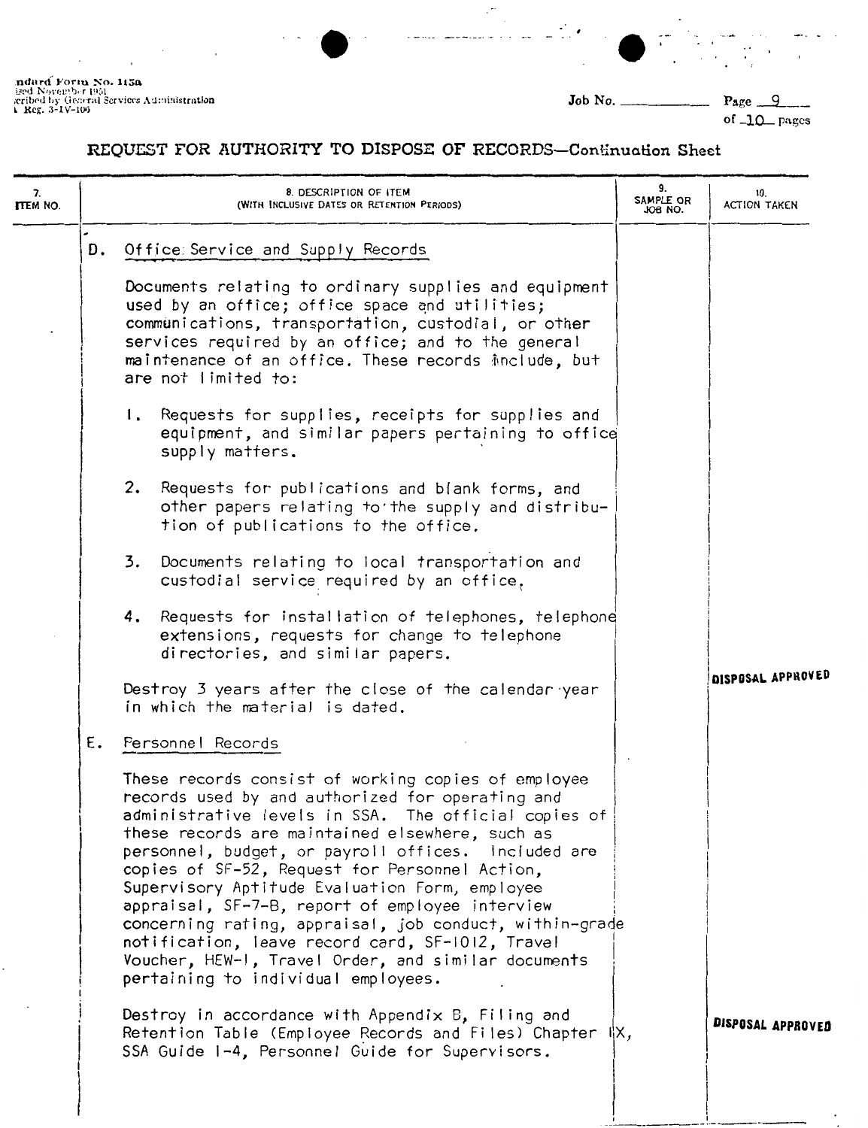ndard Form No. 115a<br>ised November 1951<br>scribed by General Services Administration<br>L Reg. 3-1V-105

Job No. \_ Page 9

of 10 pages

 $\overline{a}$ 

### REQUEST FOR AUTHORITY TO DISPOSE OF RECORDS-Continuation Sheet

÷,

| 7.<br><b>ITEM NO.</b> | 8. DESCRIPTION OF ITEM<br>(WITH INCLUSIVE DATES OR RETENTION PERIODS)                                                                                                                                                                                                                                                                                                                                                                                                                                                                                                                                                                                                                                                                                               |                                                                                                                                                                                                                                                                                                                                                                                                                                                                                                                                                                                                                                                                                                                                                                                                                                                                                            | 9.<br>SAMPLE OR<br>JOB NO. | 10.<br>ACTION TAKEN |
|-----------------------|---------------------------------------------------------------------------------------------------------------------------------------------------------------------------------------------------------------------------------------------------------------------------------------------------------------------------------------------------------------------------------------------------------------------------------------------------------------------------------------------------------------------------------------------------------------------------------------------------------------------------------------------------------------------------------------------------------------------------------------------------------------------|--------------------------------------------------------------------------------------------------------------------------------------------------------------------------------------------------------------------------------------------------------------------------------------------------------------------------------------------------------------------------------------------------------------------------------------------------------------------------------------------------------------------------------------------------------------------------------------------------------------------------------------------------------------------------------------------------------------------------------------------------------------------------------------------------------------------------------------------------------------------------------------------|----------------------------|---------------------|
|                       | D.                                                                                                                                                                                                                                                                                                                                                                                                                                                                                                                                                                                                                                                                                                                                                                  | Office: Service and Supply Records<br>Documents relating to ordinary supplies and equipment<br>used by an office; office space and utilities;<br>communications, transportation, custodial, or other<br>services required by an office; and to the general<br>maintenance of an office. These records include, but<br>are not limited to:<br>Requests for supplies, receipts for supplies and<br>$\mathbf{I}$ .<br>equipment, and similar papers pertaining to office<br>supply matters.<br>2.<br>Requests for publications and blank forms, and<br>other papers relating to the supply and distribu-<br>tion of publications to the office.<br>3. Documents relating to local transportation and<br>custodial service required by an office,<br>4. Requests for installation of telephones, telephone<br>extensions, requests for change to telephone<br>directories, and similar papers. |                            |                     |
|                       | Destroy 3 years after the close of the calendar year<br>in which the material is dated.<br>Ε.<br>Personnel Records<br>These records consist of working copies of employee<br>records used by and authorized for operating and<br>administrative levels in SSA. The official copies of<br>these records are maintained elsewhere, such as<br>personnel, budget, or payroll offices. Included are<br>copies of SF-52, Request for Personnel Action,<br>Supervisory Aptitude Evaluation Form, employee<br>appraisal, SF-7-B, report of employee interview<br>concerning rating, appraisal, job conduct, within-grade<br>notification, leave record card, SF-1012, Travel<br>Voucher, HEW-I, Travel Order, and similar documents<br>pertaining to individual employees. |                                                                                                                                                                                                                                                                                                                                                                                                                                                                                                                                                                                                                                                                                                                                                                                                                                                                                            |                            | DISPOSAL APPROVED   |
|                       |                                                                                                                                                                                                                                                                                                                                                                                                                                                                                                                                                                                                                                                                                                                                                                     | Destroy in accordance with Appendix B, Filing and<br>Retention Table (Employee Records and Files) Chapter $\ \mathsf{X},$<br>SSA Guide 1-4, Personnel Guide for Supervisors.                                                                                                                                                                                                                                                                                                                                                                                                                                                                                                                                                                                                                                                                                                               |                            | DISPOSAL APPROVED   |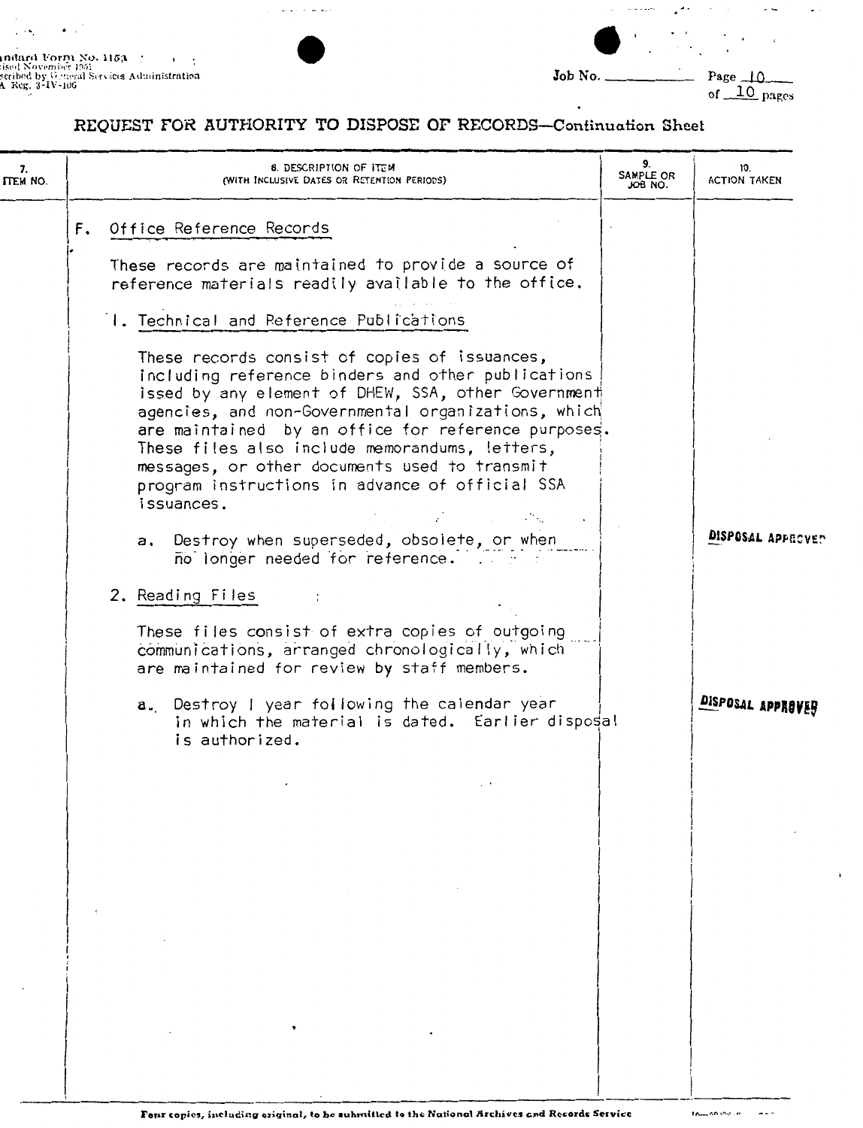indurd Form No. 1153<br>1801 November 1951<br>seribed by Ogneral Services Administration<br>A Reg. 3-IV-106

 $\bullet$  .

 $\overline{\phantom{a}}$  $\mathcal{L} \rightarrow \mathcal{L}$ 



 $\ddot{\phantom{0}}$ 

 $\mu$  is a similar of  $\mu$ 

 $\mathcal{A}^{\mathcal{A},\mathcal{C}}$ 

 $\bullet$  .  $\bullet$ 

 $\sim$   $\sim$ ÷

 $\sim$   $\sim$ 

 $\overline{\phantom{a}}$ 

 $\alpha$  ,  $\alpha$  ,  $\alpha$ 

 $\ddot{\phantom{a}}$  $\blacksquare$  $\sim$   $\alpha$ 

### REQUEST FOR AUTHORITY TO DISPOSE OF RECORDS-Continuation Sheet

 $\omega_1$  is a second second second

| 7.<br>ITEM NO. | <b>8. DESCRIPTION OF ITEM</b><br>(WITH INCLUSIVE DATES OR RETENTION PERIODS) |                                                                                                                                                                                                                                                                                                                                                                                                                                                                                                                                  |  | 10.<br><b>ACTION TAKEN</b> |
|----------------|------------------------------------------------------------------------------|----------------------------------------------------------------------------------------------------------------------------------------------------------------------------------------------------------------------------------------------------------------------------------------------------------------------------------------------------------------------------------------------------------------------------------------------------------------------------------------------------------------------------------|--|----------------------------|
|                |                                                                              | F. Office Reference Records                                                                                                                                                                                                                                                                                                                                                                                                                                                                                                      |  |                            |
|                |                                                                              | These records are maintained to provide a source of<br>reference materials readily available to the office.                                                                                                                                                                                                                                                                                                                                                                                                                      |  |                            |
|                |                                                                              | I. Technical and Reference Publications                                                                                                                                                                                                                                                                                                                                                                                                                                                                                          |  |                            |
|                |                                                                              | These records consist of copies of issuances,<br>including reference binders and other publications<br>issed by any element of DHEW, SSA, other Government<br>agencies, and non-Governmental organizations, which<br>are maintained by an office for reference purposes.<br>These files also include memorandums, letters,<br>messages, or other documents used to transmit<br>program instructions in advance of official SSA<br>issuances.<br>a. Destroy when superseded, obsolete, or when<br>no longer needed for reference. |  | DISPOSAL APPROVED          |
|                |                                                                              | 2. Reading Files                                                                                                                                                                                                                                                                                                                                                                                                                                                                                                                 |  |                            |
|                |                                                                              | These files consist of extra copies of outgoing<br>communications, arranged chronologically, which<br>are maintained for review by staff members.                                                                                                                                                                                                                                                                                                                                                                                |  |                            |
|                |                                                                              | a. Destroy I year following the calendar year<br>in which the material is dated. Earlier disposal<br>is authorized.                                                                                                                                                                                                                                                                                                                                                                                                              |  | DISPOSAL APPROVEH          |
|                |                                                                              |                                                                                                                                                                                                                                                                                                                                                                                                                                                                                                                                  |  |                            |
|                |                                                                              |                                                                                                                                                                                                                                                                                                                                                                                                                                                                                                                                  |  |                            |
|                |                                                                              |                                                                                                                                                                                                                                                                                                                                                                                                                                                                                                                                  |  |                            |
|                |                                                                              |                                                                                                                                                                                                                                                                                                                                                                                                                                                                                                                                  |  |                            |
|                |                                                                              |                                                                                                                                                                                                                                                                                                                                                                                                                                                                                                                                  |  |                            |